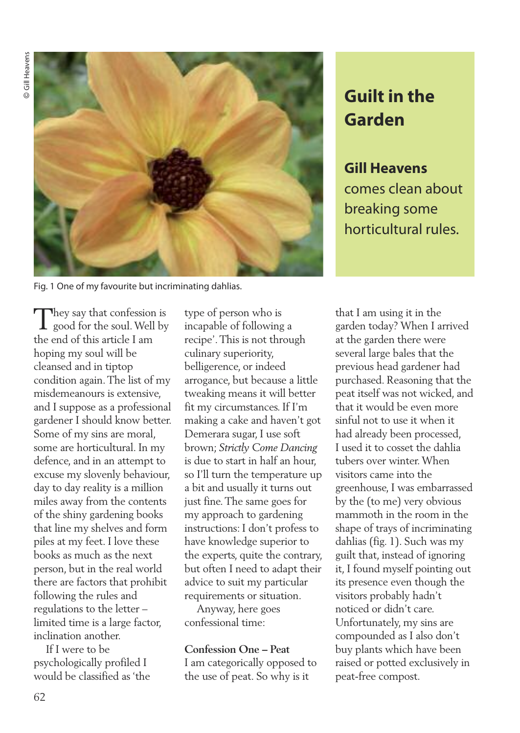© Gill Heavens Gill Heavens



Fig. 1 One of my favourite but incriminating dahlias.

They say that confession is<br>good for the soul. Well by the end of this article I am hoping my soul will be cleansed and in tiptop condition again.The list of my misdemeanours is extensive, and I suppose as a professional gardener I should know better. Some of my sins are moral, some are horticultural. In my defence, and in an attempt to excuse my slovenly behaviour, day to day reality is a million miles away from the contents of the shiny gardening books that line my shelves and form piles at my feet. I love these books as much as the next person, but in the real world there are factors that prohibit following the rules and regulations to the letter – limited time is a large factor, inclination another.

If I were to be psychologically profiled I would be classified as 'the

type of person who is incapable of following a recipe'.This is not through culinary superiority, belligerence, or indeed arrogance, but because a little tweaking means it will better fit my circumstances. If I'm making a cake and haven't got Demerara sugar, I use soft brown; *Strictly Come Dancing* is due to start in half an hour, so I'll turn the temperature up a bit and usually it turns out just fine.The same goes for my approach to gardening instructions: I don't profess to have knowledge superior to the experts, quite the contrary, but often I need to adapt their advice to suit my particular requirements or situation.

Anyway, here goes confessional time:

#### **Confession One – Peat**

I am categorically opposed to the use of peat. So why is it

# **Guilt in the Garden**

# **Gill Heavens**

comes clean about breaking some horticultural rules.

that I am using it in the garden today? When I arrived at the garden there were several large bales that the previous head gardener had purchased. Reasoning that the peat itself was not wicked, and that it would be even more sinful not to use it when it had already been processed, I used it to cosset the dahlia tubers over winter.When visitors came into the greenhouse, I was embarrassed by the (to me) very obvious mammoth in the room in the shape of trays of incriminating dahlias (fig. 1). Such was my guilt that, instead of ignoring it, I found myself pointing out its presence even though the visitors probably hadn't noticed or didn't care. Unfortunately, my sins are compounded as I also don't buy plants which have been raised or potted exclusively in peat-free compost.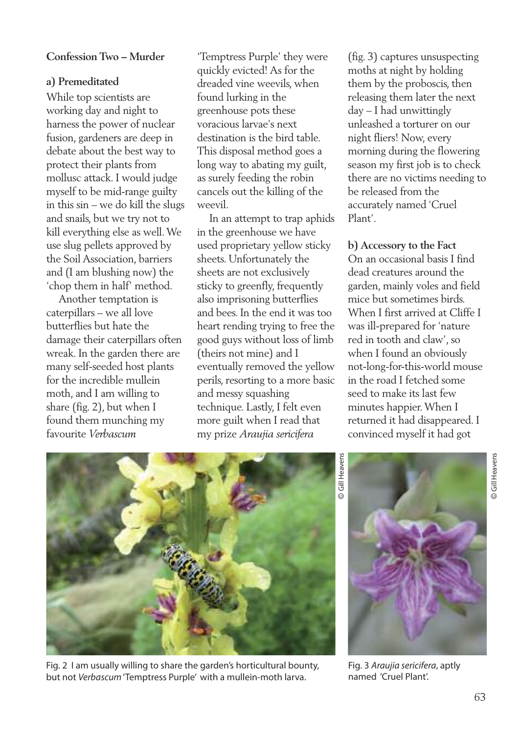#### **Confession Two – Murder**

#### **a) Premeditated**

While top scientists are working day and night to harness the power of nuclear fusion, gardeners are deep in debate about the best way to protect their plants from mollusc attack. I would judge myself to be mid-range guilty in this sin – we do kill the slugs and snails, but we try not to kill everything else as well.We use slug pellets approved by the Soil Association, barriers and (I am blushing now) the 'chop them in half' method.

Another temptation is caterpillars – we all love butterflies but hate the damage their caterpillars often wreak. In the garden there are many self-seeded host plants for the incredible mullein moth, and I am willing to share (fig. 2), but when I found them munching my favourite *Verbascum*

'Temptress Purple' they were quickly evicted! As for the dreaded vine weevils, when found lurking in the greenhouse pots these voracious larvae's next destination is the bird table. This disposal method goes a long way to abating my guilt, as surely feeding the robin cancels out the killing of the weevil.

In an attempt to trap aphids in the greenhouse we have used proprietary yellow sticky sheets. Unfortunately the sheets are not exclusively sticky to greenfly, frequently also imprisoning butterflies and bees. In the end it was too heart rending trying to free the good guys without loss of limb (theirs not mine) and I eventually removed the yellow perils, resorting to a more basic and messy squashing technique. Lastly, I felt even more guilt when I read that my prize *Araujia sericifera*

(fig. 3) captures unsuspecting moths at night by holding them by the proboscis, then releasing them later the next day – I had unwittingly unleashed a torturer on our night fliers! Now, every morning during the flowering season my first job is to check there are no victims needing to be released from the accurately named 'Cruel Plant'.

**b) Accessory to the Fact** On an occasional basis I find dead creatures around the garden, mainly voles and field mice but sometimes birds. When I first arrived at Cliffe I was ill-prepared for 'nature red in tooth and claw', so when I found an obviously not-long-for-this-world mouse in the road I fetched some seed to make its last few minutes happier.When I returned it had disappeared. I convinced myself it had got



Fig. 2 I am usually willing to share the garden's horticultural bounty, but not *Verbascum*'Temptress Purple' with a mullein-moth larva.

Gill Heavens Gill Heavens©



Fig. 3 *Araujia sericifera*, aptly named 'Cruel Plant'.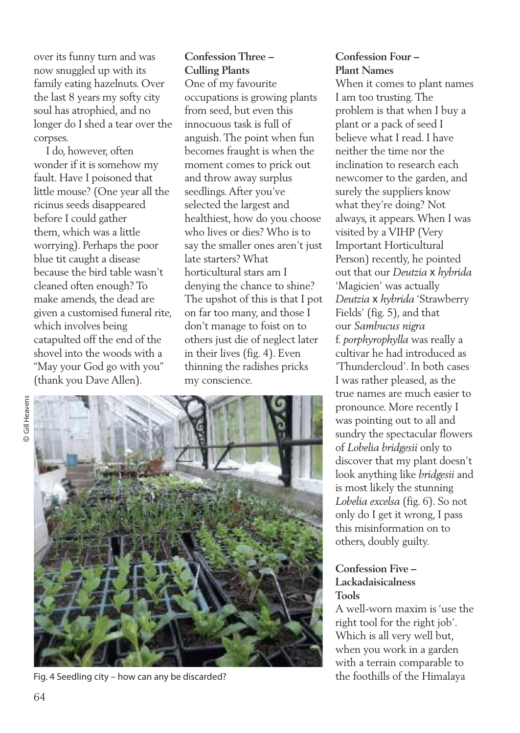over its funny turn and was now snuggled up with its family eating hazelnuts. Over the last 8 years my softy city soul has atrophied, and no longer do I shed a tear over the corpses.

I do, however, often wonder if it is somehow my fault. Have I poisoned that little mouse? (One year all the ricinus seeds disappeared before I could gather them, which was a little worrying). Perhaps the poor blue tit caught a disease because the bird table wasn't cleaned often enough? To make amends, the dead are given a customised funeral rite, which involves being catapulted off the end of the shovel into the woods with a "May your God go with you" (thank you Dave Allen).

# **Confession Three – Culling Plants**

One of my favourite occupations is growing plants from seed, but even this innocuous task is full of anguish.The point when fun becomes fraught is when the moment comes to prick out and throw away surplus seedlings.After you've selected the largest and healthiest, how do you choose who lives or dies? Who is to say the smaller ones aren't just late starters? What horticultural stars am I denying the chance to shine? The upshot of this is that I pot on far too many, and those I don't manage to foist on to others just die of neglect later in their lives (fig. 4). Even thinning the radishes pricks my conscience.

© Gill Heavens Gill Heavens



Fig. 4 Seedling city – how can any be discarded? the foothills of the Himalaya

## **Confession Four – Plant Names**

When it comes to plant names I am too trusting.The problem is that when I buy a plant or a pack of seed I believe what I read. I have neither the time nor the inclination to research each newcomer to the garden, and surely the suppliers know what they're doing? Not always, it appears.When I was visited by a VIHP (Very Important Horticultural Person) recently, he pointed out that our *Deutzia* x *hybrida* 'Magicien' was actually *Deutzia* x *hybrida* 'Strawberry Fields' (fig. 5), and that our *Sambucus nigra* f. *porphyrophylla* was really a cultivar he had introduced as 'Thundercloud'. In both cases I was rather pleased, as the true names are much easier to pronounce. More recently I was pointing out to all and sundry the spectacular flowers of *Lobelia bridgesii* only to discover that my plant doesn't look anything like *bridgesii* and is most likely the stunning *Lobelia excelsa* (fig. 6). So not only do I get it wrong, I pass this misinformation on to others, doubly guilty.

### **Confession Five – Lackadaisicalness Tools**

A well-worn maxim is 'use the right tool for the right job'. Which is all very well but, when you work in a garden with a terrain comparable to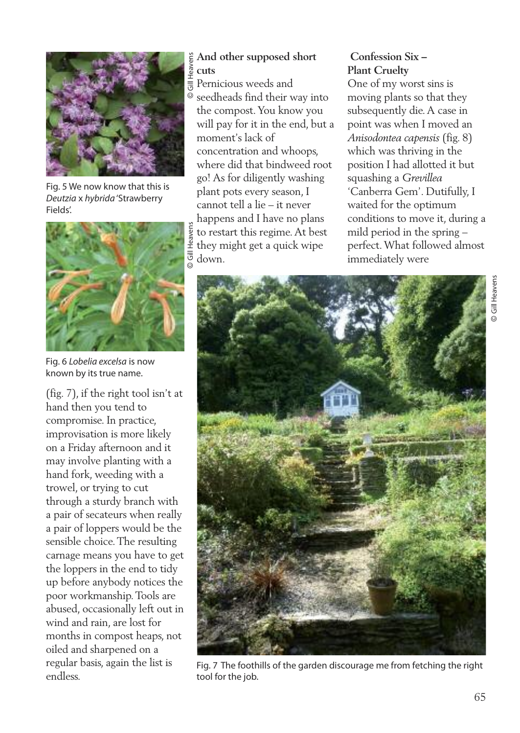

Fig. 5 We now know that this is *Deutzia* x *hybrida*'Strawberry Fields'.



Fig. 6 *Lobelia excelsa* is now known by its true name.

(fig. 7), if the right tool isn't at hand then you tend to compromise. In practice, improvisation is more likely on a Friday afternoon and it may involve planting with a hand fork, weeding with a trowel, or trying to cut through a sturdy branch with a pair of secateurs when really a pair of loppers would be the sensible choice.The resulting carnage means you have to get the loppers in the end to tidy up before anybody notices the poor workmanship.Tools are abused, occasionally left out in wind and rain, are lost for months in compost heaps, not oiled and sharpened on a regular basis, again the list is endless.

### **And other supposed short cuts**

 $\equiv$  Pernicious weeds and seedheads find their way into the compost.You know you will pay for it in the end, but a moment's lack of concentration and whoops, where did that bindweed root go! As for diligently washing plant pots every season, I cannot tell a lie – it never happens and I have no plans to restart this regime.At best they might get a quick wipe down.

# **Confession Six – Plant Cruelty**

One of my worst sins is moving plants so that they subsequently die.A case in point was when I moved an *Anisodontea capensis* (fig. 8) which was thriving in the position I had allotted it but squashing a *Grevillea* 'Canberra Gem'. Dutifully, I waited for the optimum conditions to move it, during a mild period in the spring – perfect.What followed almost immediately were



Fig. 7 The foothills of the garden discourage me from fetching the right tool for the job.